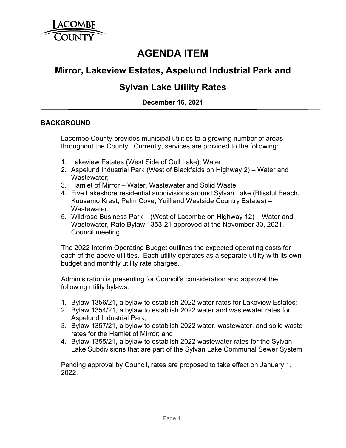

# **AGENDA ITEM**

## **Mirror, Lakeview Estates, Aspelund Industrial Park and**

## **Sylvan Lake Utility Rates**

**December 16, 2021**

## **BACKGROUND**

Lacombe County provides municipal utilities to a growing number of areas throughout the County. Currently, services are provided to the following:

- 1. Lakeview Estates (West Side of Gull Lake); Water
- 2. Aspelund Industrial Park (West of Blackfalds on Highway 2) Water and Wastewater;
- 3. Hamlet of Mirror Water, Wastewater and Solid Waste
- 4. Five Lakeshore residential subdivisions around Sylvan Lake (Blissful Beach, Kuusamo Krest, Palm Cove, Yuill and Westside Country Estates) – Wastewater,
- 5. Wildrose Business Park (West of Lacombe on Highway 12) Water and Wastewater, Rate Bylaw 1353-21 approved at the November 30, 2021, Council meeting.

The 2022 Interim Operating Budget outlines the expected operating costs for each of the above utilities. Each utility operates as a separate utility with its own budget and monthly utility rate charges.

Administration is presenting for Council's consideration and approval the following utility bylaws:

- 1. Bylaw 1356/21, a bylaw to establish 2022 water rates for Lakeview Estates;
- 2. Bylaw 1354/21, a bylaw to establish 2022 water and wastewater rates for Aspelund Industrial Park;
- 3. Bylaw 1357/21, a bylaw to establish 2022 water, wastewater, and solid waste rates for the Hamlet of Mirror; and
- 4. Bylaw 1355/21, a bylaw to establish 2022 wastewater rates for the Sylvan Lake Subdivisions that are part of the Sylvan Lake Communal Sewer System

Pending approval by Council, rates are proposed to take effect on January 1, 2022.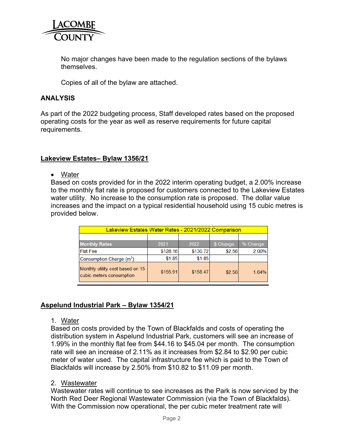

No major changes have been made to the regulation sections of the bylaws **themselves** 

Copies of all of the bylaw are attached.

#### **ANALYSIS**

As part of the 2022 budgeting process, Staff developed rates based on the proposed operating costs for the year as well as reserve requirements for future capital requirements.

#### **Lakeview Estates– Bylaw 1356/21**

• Water

Based on costs provided for in the 2022 interim operating budget, a 2.00% increase to the monthly flat rate is proposed for customers connected to the Lakeview Estates water utility. No increase to the consumption rate is proposed. The dollar value increases and the impact on a typical residential household using 15 cubic metres is provided below.

| Lakeview Estates Water Rates - 2021/2022 Comparison          |          |          |           |          |
|--------------------------------------------------------------|----------|----------|-----------|----------|
|                                                              |          |          |           |          |
| <b>Monthly Rates</b>                                         | 2021     | 2022     | \$ Change | % Change |
| <b>Flat Fee</b>                                              | \$128.16 | \$130.72 | \$2.56    | 2.00%    |
| Consumption Charge (m <sup>3</sup> )                         | \$1.85   | \$1.85   |           |          |
| Monthly utility cost based on 15<br>cubic meters consumption | \$155.91 | \$158.47 | \$2.56    | 1.64%    |

### **Aspelund Industrial Park – Bylaw 1354/21**

#### 1. Water

Based on costs provided by the Town of Blackfalds and costs of operating the distribution system in Aspelund Industrial Park, customers will see an increase of 1.99% in the monthly flat fee from \$44.16 to \$45.04 per month. The consumption rate will see an increase of 2.11% as it increases from \$2.84 to \$2.90 per cubic meter of water used. The capital infrastructure fee which is paid to the Town of Blackfalds will increase by 2.50% from \$10.82 to \$11.09 per month.

#### 2. Wastewater

Wastewater rates will continue to see increases as the Park is now serviced by the North Red Deer Regional Wastewater Commission (via the Town of Blackfalds). With the Commission now operational, the per cubic meter treatment rate will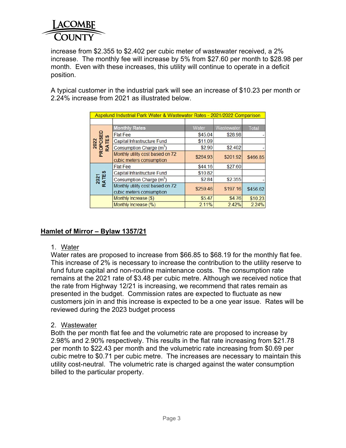

increase from \$2.355 to \$2.402 per cubic meter of wastewater received, a 2% increase. The monthly fee will increase by 5% from \$27.60 per month to \$28.98 per month. Even with these increases, this utility will continue to operate in a deficit position.

A typical customer in the industrial park will see an increase of \$10.23 per month or 2.24% increase from 2021 as illustrated below.

| Aspelund Industrial Park Water & Wastewater Rates - 2021/2022 Comparison |                                                              |          |            |              |
|--------------------------------------------------------------------------|--------------------------------------------------------------|----------|------------|--------------|
| 2022<br>PROPOSED<br>RATES                                                | <b>Monthly Rates</b>                                         | Water    | Wastewater | <b>Total</b> |
|                                                                          | <b>Flat Fee</b>                                              | \$45.04  | \$28.98    |              |
|                                                                          | Capital Infrastructure Fund                                  | \$11.09  |            |              |
| RA                                                                       | Consumption Charge (m <sup>3</sup> )                         | \$2.90   | \$2,402    |              |
|                                                                          | Monthly utility cost based on 72<br>cubic meters consumption | \$264.93 | \$201.92   | \$466.85     |
|                                                                          | <b>Flat Fee</b>                                              | \$44.16  | \$27.60    |              |
|                                                                          | Capital Infrastructure Fund                                  | \$10.82  |            |              |
| 2021<br>RATES                                                            | Consumption Charge (m <sup>3</sup> )                         | \$2.84   | \$2.355    |              |
|                                                                          | Monthly utility cost based on 72<br>cubic meters consumption | \$259.46 | \$197.16   | \$456.62     |
|                                                                          | Monthly Increase (\$)                                        | \$5.47   | \$4.76     | \$10.23      |
|                                                                          | Monthly Increase (%)                                         | 2.11%    | 2.42%      | 2.24%        |

## **Hamlet of Mirror – Bylaw 1357/21**

### 1. Water

Water rates are proposed to increase from \$66.85 to \$68.19 for the monthly flat fee. This increase of 2% is necessary to increase the contribution to the utility reserve to fund future capital and non-routine maintenance costs. The consumption rate remains at the 2021 rate of \$3.48 per cubic metre. Although we received notice that the rate from Highway 12/21 is increasing, we recommend that rates remain as presented in the budget. Commission rates are expected to fluctuate as new customers join in and this increase is expected to be a one year issue. Rates will be reviewed during the 2023 budget process

### 2. Wastewater

Both the per month flat fee and the volumetric rate are proposed to increase by 2.98% and 2.90% respectively. This results in the flat rate increasing from \$21.78 per month to \$22.43 per month and the volumetric rate increasing from \$0.69 per cubic metre to \$0.71 per cubic metre. The increases are necessary to maintain this utility cost-neutral. The volumetric rate is charged against the water consumption billed to the particular property.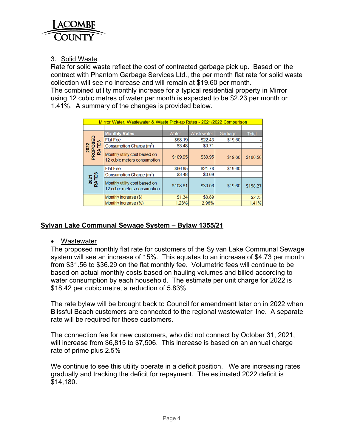

## 3. Solid Waste

Rate for solid waste reflect the cost of contracted garbage pick up. Based on the contract with Phantom Garbage Services Ltd., the per month flat rate for solid waste collection will see no increase and will remain at \$19.60 per month.

The combined utility monthly increase for a typical residential property in Mirror using 12 cubic metres of water per month is expected to be \$2.23 per month or 1.41%. A summary of the changes is provided below.

| Mirror Water, Wastewater & Waste Pick-up Rates - 2021/2022 Comparison |                                                              |          |            |         |              |
|-----------------------------------------------------------------------|--------------------------------------------------------------|----------|------------|---------|--------------|
|                                                                       |                                                              |          |            |         |              |
| 2022<br>PROPOSED<br>RATES                                             | <b>Monthly Rates</b>                                         | Water    | Wastewater | Garbage | <b>Total</b> |
|                                                                       | <b>Flat Fee</b>                                              | \$68.19  | \$22.43    | \$19.60 |              |
|                                                                       | Consumption Charge (m <sup>3</sup> )                         | \$3.48   | \$0.71     |         |              |
|                                                                       | Monthly utility cost based on<br>12 cubic meters consumption | \$109.95 | \$30.95    | \$19.60 | \$160.50     |
| 2021<br>RATES                                                         | <b>Flat Fee</b>                                              | \$66.85  | \$21.78    | \$19.60 |              |
|                                                                       | Consumption Charge (m <sup>3</sup> )                         | \$3.48   | \$0.69     |         |              |
|                                                                       | Monthly utility cost based on<br>12 cubic meters consumption | \$108.61 | \$30.06    | \$19.60 | \$158.27     |
|                                                                       | Monthly Increase (\$)                                        | \$1.34   | \$0.89     |         | \$2.23       |
|                                                                       | Monthly Increase (%)                                         | 1.23%    | 2.96%      |         | 1.41%        |

## **Sylvan Lake Communal Sewage System – Bylaw 1355/21**

• Wastewater

The proposed monthly flat rate for customers of the Sylvan Lake Communal Sewage system will see an increase of 15%. This equates to an increase of \$4.73 per month from \$31.56 to \$36.29 on the flat monthly fee. Volumetric fees will continue to be based on actual monthly costs based on hauling volumes and billed according to water consumption by each household. The estimate per unit charge for 2022 is \$18.42 per cubic metre, a reduction of 5.83%.

The rate bylaw will be brought back to Council for amendment later on in 2022 when Blissful Beach customers are connected to the regional wastewater line. A separate rate will be required for these customers.

The connection fee for new customers, who did not connect by October 31, 2021, will increase from \$6,815 to \$7,506. This increase is based on an annual charge rate of prime plus 2.5%

We continue to see this utility operate in a deficit position. We are increasing rates gradually and tracking the deficit for repayment. The estimated 2022 deficit is \$14,180.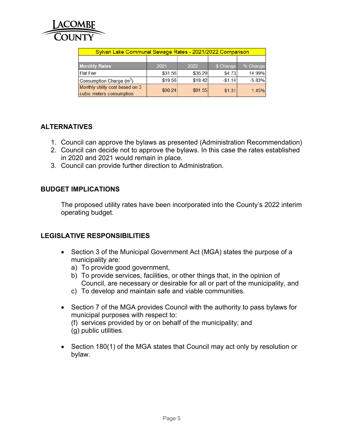

| Sylvan Lake Communal Sewage Rates - 2021/2022 Comparison    |         |         |           |          |  |
|-------------------------------------------------------------|---------|---------|-----------|----------|--|
|                                                             |         |         |           |          |  |
| <b>Monthly Rates</b>                                        | 2021    | 2022    | \$ Change | % Change |  |
| <b>Flat Fee</b>                                             | \$31.56 | \$36.29 | \$4.73    | 14.99%   |  |
| Consumption Charge (m <sup>3</sup> )                        | \$19.56 | \$18.42 | $-$1.14$  | $-5.83%$ |  |
| Monthly utility cost based on 3<br>cubic meters consumption | \$90.24 | \$91.55 | \$1.31    | 1.45%    |  |

## **ALTERNATIVES**

- 1. Council can approve the bylaws as presented (Administration Recommendation)
- 2. Council can decide not to approve the bylaws. In this case the rates established in 2020 and 2021 would remain in place.
- 3. Council can provide further direction to Administration.

## **BUDGET IMPLICATIONS**

The proposed utility rates have been incorporated into the County's 2022 interim operating budget.

### **LEGISLATIVE RESPONSIBILITIES**

- Section 3 of the Municipal Government Act (MGA) states the purpose of a municipality are:
	- a) To provide good government,
	- b) To provide services, facilities, or other things that, in the opinion of Council, are necessary or desirable for all or part of the municipality, and
	- c) To develop and maintain safe and viable communities.
- Section 7 of the MGA provides Council with the authority to pass bylaws for municipal purposes with respect to: (f) services provided by or on behalf of the municipality; and (g) public utilities.
- Section 180(1) of the MGA states that Council may act only by resolution or bylaw.